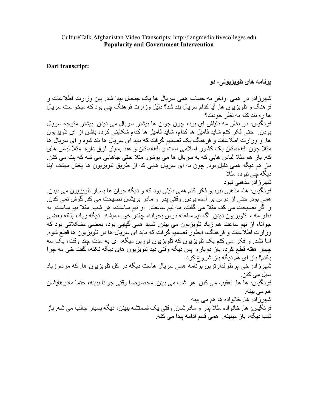## Dari transcript:

برنامه های تلویزیونی۔ دو

شهرزاد: در همی اواخر به حساب همی سریال ها یک جنجال بیدا شد. بین وزارت اطلاعات و فر هنگ و تلویزیون ها ِ آیا کدام سریال بند شد؟ دلیل وزارت فر هنگ چی بود که میخواست سریال ها ره بند كنه به نظر خودت؟ فرنگيس: در نظر مه دليلش اي بود، چون جوان ها بيشتر سريال مي ديدن. بيشتر متوجه سريال بودن ِ حتَّى فكر كنم شايد فاميل ها كدام، شايد فاميل ها كدام شكايتي كرده باشن از اي تلويزيون ها و وزارت اطلاعات و فرهنگ یک تصمیم گرفت که باید ای سریال ها بند شوه و ای سریال ها مثلاً جون افغانستان یک کشور اسلامی است و افغانستان و هند بسیار فرق داره مثلاً لباس های که ِ باز ِ هم مثلا لباس هایی که به سر بال ها می بوشن ِ مثلا حتی جاهایی می شه که بت می کنن ِ باز ِ هم دیگه همی دلیل بود. چون به ای سریال هایی که از طریق تلویزیون ها بخش میشد، اینا دبگه جے نبود، مثلا شھر زاد: مذھبے نبود فرنگيس: ها، مذهبي نبود و فكر كنم همي دليلي بود كه و ديگه جوان ها بسيار تلويزيون مي ديدن ِ همي ٻو د. حتي از ِ در س بر ِ آمده بو دن ِ وقتي بدر ِ و مادر ِ بر پشان نصيحت مي کد ِ گوش نمي کدن ِ و اگر نصیحت می کد، مثلاً می گفت، مه نیم ساعت ِ او نیم ساعت، هر شب ِ مثلاً نیم ساعت ِ به نظر مه ، تلویزیون دیدن ِ اگه نیم ساعته درس بخوانه، چقدر خوب میشه ِ دیگه زیاد، بلکه بعضی جوانا، از نیم ساعت هم زیاد تلویزیون می بینن ِ شاید همی گیایی بود، بعضبی مشکلاتی بود که وزارت اطلاعات و فرهٰنگ، ایطور نصمیم گرفت که باید ای سریال ها در تلویزیون ها قطع شوه اما نشد و فکر می کنم یک نلویزیون که تلویزیون نورین میگه، ای به مدت چند وقت، یک سه جهار هفته قطع كرد، باز دوباره يس ديگه وقتي ديد تلويزيون هاي ديگه نكنه، گفت خي مه چرا بکنم؟ باز اي هم ديگه باز شروع کرد. شهرزاد: خی برطرفدارترین برنامه همی سریال هاست دیگه در کل تلویزیون ها. که مردم زیاد سیل م*ی* کنن. فرنگيس: ها ها. تعقيب مي كنن. هر شب مي بينن. مخصوصا وقتي جوانا ببينه، حتما مادر هايشان هم می بینه. شهر ز اد: ها. خانو اده ها هم می بینه فر نگيس: ها. خانو اده مثلا بدر و مادر شان. وقتي يک قسمتشه ببينن، ديگه بسيار جالب مي شه. باز شب ديگه، باز ِ ميبينه ِ همي قسم ادامه بيدا مي كنه ِ